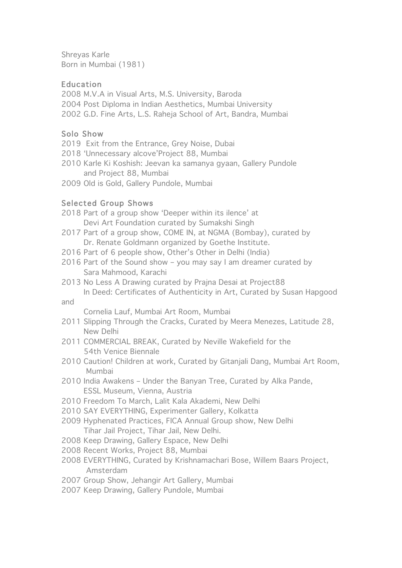Shreyas Karle Born in Mumbai (1981)

#### Education

2008 M.V.A in Visual Arts, M.S. University, Baroda

- 2004 Post Diploma in Indian Aesthetics, Mumbai University
- 2002 G.D. Fine Arts, L.S. Raheja School of Art, Bandra, Mumbai

### Solo Show

- 2019 Exit from the Entrance, Grey Noise, Dubai
- 2018 'Unnecessary alcove'Project 88, Mumbai
- 2010 Karle Ki Koshish: Jeevan ka samanya gyaan, Gallery Pundole and Project 88, Mumbai
- 2009 Old is Gold, Gallery Pundole, Mumbai

### Selected Group Shows

- 2018 Part of a group show 'Deeper within its ilence' at Devi Art Foundation curated by Sumakshi Singh
- 2017 Part of a group show, COME IN, at NGMA (Bombay), curated by Dr. Renate Goldmann organized by Goethe Institute.
- 2016 Part of 6 people show, Other's Other in Delhi (India)
- 2016 Part of the Sound show you may say I am dreamer curated by Sara Mahmood, Karachi
- 2013 No Less A Drawing curated by Prajna Desai at Project88 In Deed: Certificates of Authenticity in Art, Curated by Susan Hapgood

and

Cornelia Lauf, Mumbai Art Room, Mumbai

- 2011 Slipping Through the Cracks, Curated by Meera Menezes, Latitude 28, New Delhi
- 2011 COMMERCIAL BREAK, Curated by Neville Wakefield for the 54th Venice Biennale
- 2010 Caution! Children at work, Curated by Gitanjali Dang, Mumbai Art Room, Mumbai
- 2010 India Awakens Under the Banyan Tree, Curated by Alka Pande, ESSL Museum, Vienna, Austria
- 2010 Freedom To March, Lalit Kala Akademi, New Delhi
- 2010 SAY EVERYTHING, Experimenter Gallery, Kolkatta
- 2009 Hyphenated Practices, FICA Annual Group show, New Delhi Tihar Jail Project, Tihar Jail, New Delhi.
- 2008 Keep Drawing, Gallery Espace, New Delhi
- 2008 Recent Works, Project 88, Mumbai
- 2008 EVERYTHING, Curated by Krishnamachari Bose, Willem Baars Project, Amsterdam
- 2007 Group Show, Jehangir Art Gallery, Mumbai
- 2007 Keep Drawing, Gallery Pundole, Mumbai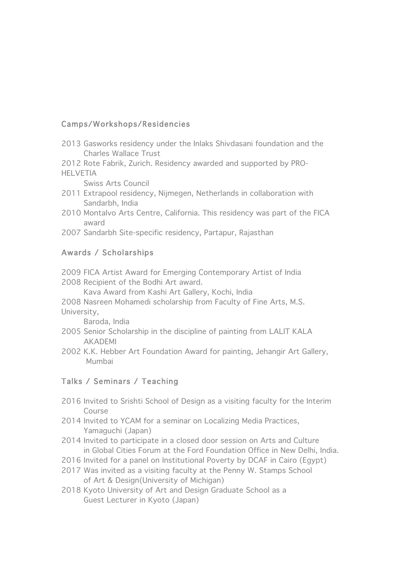## Camps/Workshops/Residencies

- 2013 Gasworks residency under the Inlaks Shivdasani foundation and the Charles Wallace Trust
- 2012 Rote Fabrik, Zurich. Residency awarded and supported by PRO-HELVETIA

Swiss Arts Council

- 2011 Extrapool residency, Nijmegen, Netherlands in collaboration with Sandarbh, India
- 2010 Montalvo Arts Centre, California. This residency was part of the FICA award
- 2007 Sandarbh Site-specific residency, Partapur, Rajasthan

# Awards / Scholarships

- 2009 FICA Artist Award for Emerging Contemporary Artist of India
- 2008 Recipient of the Bodhi Art award.
	- Kava Award from Kashi Art Gallery, Kochi, India
- 2008 Nasreen Mohamedi scholarship from Faculty of Fine Arts, M.S. University,

Baroda, India

- 2005 Senior Scholarship in the discipline of painting from LALIT KALA AKADEMI
- 2002 K.K. Hebber Art Foundation Award for painting, Jehangir Art Gallery, Mumbai

# Talks / Seminars / Teaching

- 2016 Invited to Srishti School of Design as a visiting faculty for the Interim Course
- 2014 Invited to YCAM for a seminar on Localizing Media Practices, Yamaguchi (Japan)
- 2014 Invited to participate in a closed door session on Arts and Culture in Global Cities Forum at the Ford Foundation Office in New Delhi, India.
- 2016 Invited for a panel on Institutional Poverty by DCAF in Cairo (Egypt)
- 2017 Was invited as a visiting faculty at the Penny W. Stamps School of Art & Design(University of Michigan)
- 2018 Kyoto University of Art and Design Graduate School as a Guest Lecturer in Kyoto (Japan)